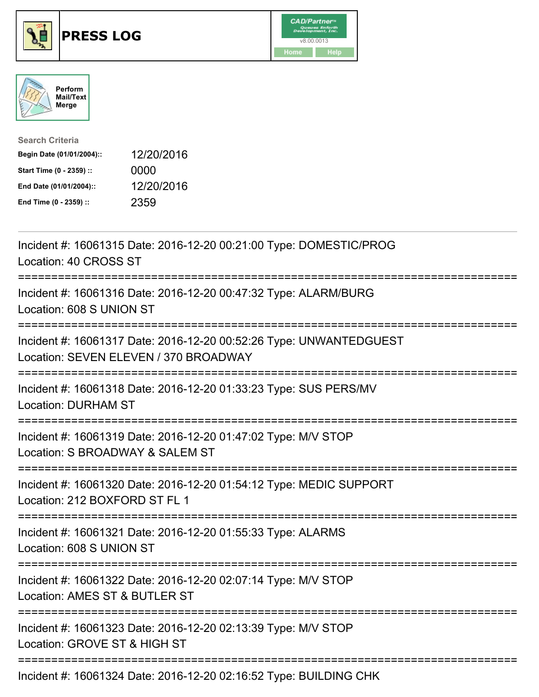





| <b>Search Criteria</b>    |            |
|---------------------------|------------|
| Begin Date (01/01/2004):: | 12/20/2016 |
| Start Time (0 - 2359) ::  | 0000       |
| End Date (01/01/2004)::   | 12/20/2016 |
| End Time (0 - 2359) ::    | 2359       |

| Incident #: 16061315 Date: 2016-12-20 00:21:00 Type: DOMESTIC/PROG<br>Location: 40 CROSS ST<br>===============                                      |
|-----------------------------------------------------------------------------------------------------------------------------------------------------|
| Incident #: 16061316 Date: 2016-12-20 00:47:32 Type: ALARM/BURG<br>Location: 608 S UNION ST<br>===============                                      |
| Incident #: 16061317 Date: 2016-12-20 00:52:26 Type: UNWANTEDGUEST<br>Location: SEVEN ELEVEN / 370 BROADWAY<br>===============================      |
| Incident #: 16061318 Date: 2016-12-20 01:33:23 Type: SUS PERS/MV<br><b>Location: DURHAM ST</b>                                                      |
| Incident #: 16061319 Date: 2016-12-20 01:47:02 Type: M/V STOP<br>Location: S BROADWAY & SALEM ST<br>=====================                           |
| Incident #: 16061320 Date: 2016-12-20 01:54:12 Type: MEDIC SUPPORT<br>Location: 212 BOXFORD ST FL 1                                                 |
| Incident #: 16061321 Date: 2016-12-20 01:55:33 Type: ALARMS<br>Location: 608 S UNION ST                                                             |
| Incident #: 16061322 Date: 2016-12-20 02:07:14 Type: M/V STOP<br>Location: AMES ST & BUTLER ST<br>:=========================<br>------------------- |
| Incident #: 16061323 Date: 2016-12-20 02:13:39 Type: M/V STOP<br>Location: GROVE ST & HIGH ST                                                       |
| Incident #: 16061324 Date: 2016-12-20 02:16:52 Type: BUILDING CHK                                                                                   |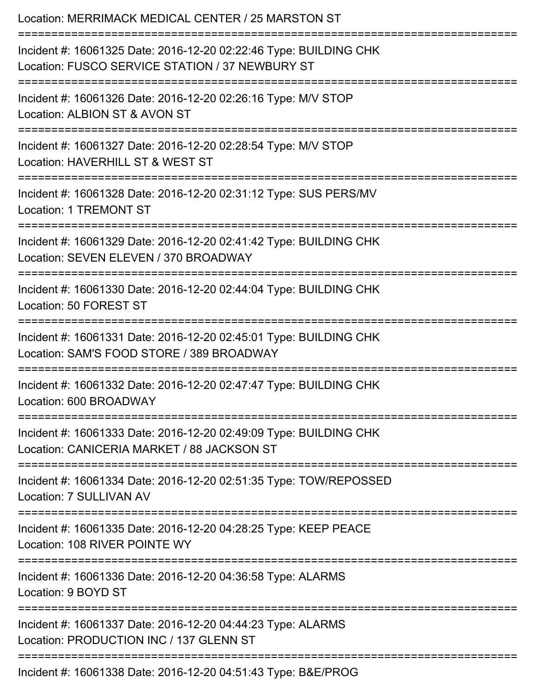| Location: MERRIMACK MEDICAL CENTER / 25 MARSTON ST                                                                                    |
|---------------------------------------------------------------------------------------------------------------------------------------|
| Incident #: 16061325 Date: 2016-12-20 02:22:46 Type: BUILDING CHK<br>Location: FUSCO SERVICE STATION / 37 NEWBURY ST                  |
| Incident #: 16061326 Date: 2016-12-20 02:26:16 Type: M/V STOP<br>Location: ALBION ST & AVON ST<br>:================================== |
| Incident #: 16061327 Date: 2016-12-20 02:28:54 Type: M/V STOP<br>Location: HAVERHILL ST & WEST ST                                     |
| ;========================<br>Incident #: 16061328 Date: 2016-12-20 02:31:12 Type: SUS PERS/MV<br><b>Location: 1 TREMONT ST</b>        |
| Incident #: 16061329 Date: 2016-12-20 02:41:42 Type: BUILDING CHK<br>Location: SEVEN ELEVEN / 370 BROADWAY                            |
| :=====================<br>Incident #: 16061330 Date: 2016-12-20 02:44:04 Type: BUILDING CHK<br>Location: 50 FOREST ST                 |
| Incident #: 16061331 Date: 2016-12-20 02:45:01 Type: BUILDING CHK<br>Location: SAM'S FOOD STORE / 389 BROADWAY                        |
| Incident #: 16061332 Date: 2016-12-20 02:47:47 Type: BUILDING CHK<br>Location: 600 BROADWAY                                           |
| Incident #: 16061333 Date: 2016-12-20 02:49:09 Type: BUILDING CHK<br>Location: CANICERIA MARKET / 88 JACKSON ST                       |
| Incident #: 16061334 Date: 2016-12-20 02:51:35 Type: TOW/REPOSSED<br>Location: 7 SULLIVAN AV                                          |
| Incident #: 16061335 Date: 2016-12-20 04:28:25 Type: KEEP PEACE<br>Location: 108 RIVER POINTE WY                                      |
| Incident #: 16061336 Date: 2016-12-20 04:36:58 Type: ALARMS<br>Location: 9 BOYD ST                                                    |
| Incident #: 16061337 Date: 2016-12-20 04:44:23 Type: ALARMS<br>Location: PRODUCTION INC / 137 GLENN ST                                |
| Incident #: 16061338 Date: 2016-12-20 04:51:43 Type: B&E/PROG                                                                         |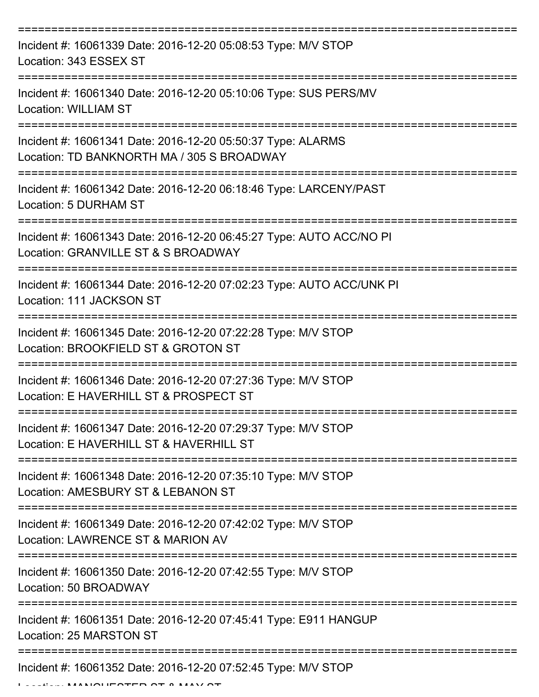| Incident #: 16061339 Date: 2016-12-20 05:08:53 Type: M/V STOP<br>Location: 343 ESSEX ST                    |
|------------------------------------------------------------------------------------------------------------|
| Incident #: 16061340 Date: 2016-12-20 05:10:06 Type: SUS PERS/MV<br>Location: WILLIAM ST                   |
| Incident #: 16061341 Date: 2016-12-20 05:50:37 Type: ALARMS<br>Location: TD BANKNORTH MA / 305 S BROADWAY  |
| Incident #: 16061342 Date: 2016-12-20 06:18:46 Type: LARCENY/PAST<br>Location: 5 DURHAM ST                 |
| Incident #: 16061343 Date: 2016-12-20 06:45:27 Type: AUTO ACC/NO PI<br>Location: GRANVILLE ST & S BROADWAY |
| Incident #: 16061344 Date: 2016-12-20 07:02:23 Type: AUTO ACC/UNK PI<br>Location: 111 JACKSON ST           |
| Incident #: 16061345 Date: 2016-12-20 07:22:28 Type: M/V STOP<br>Location: BROOKFIELD ST & GROTON ST       |
| Incident #: 16061346 Date: 2016-12-20 07:27:36 Type: M/V STOP<br>Location: E HAVERHILL ST & PROSPECT ST    |
| Incident #: 16061347 Date: 2016-12-20 07:29:37 Type: M/V STOP<br>Location: E HAVERHILL ST & HAVERHILL ST   |
| Incident #: 16061348 Date: 2016-12-20 07:35:10 Type: M/V STOP<br>Location: AMESBURY ST & LEBANON ST        |
| Incident #: 16061349 Date: 2016-12-20 07:42:02 Type: M/V STOP<br>Location: LAWRENCE ST & MARION AV         |
| Incident #: 16061350 Date: 2016-12-20 07:42:55 Type: M/V STOP<br>Location: 50 BROADWAY                     |
| Incident #: 16061351 Date: 2016-12-20 07:45:41 Type: E911 HANGUP<br>Location: 25 MARSTON ST                |
| Incident #: 16061352 Date: 2016-12-20 07:52:45 Type: M/V STOP                                              |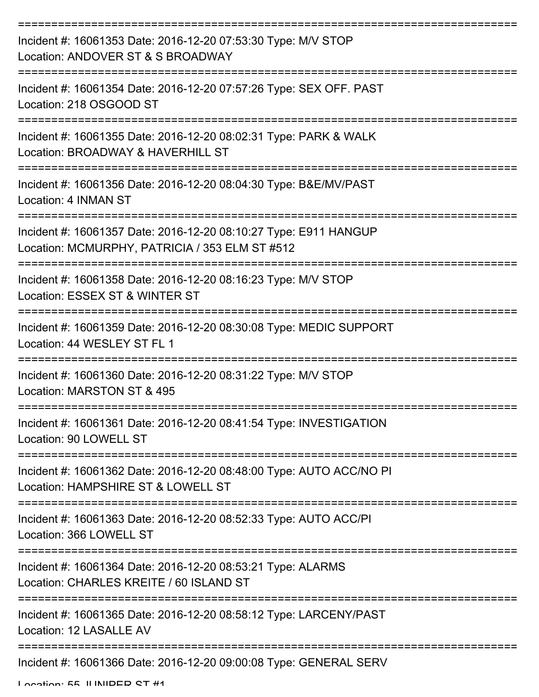| Incident #: 16061353 Date: 2016-12-20 07:53:30 Type: M/V STOP<br>Location: ANDOVER ST & S BROADWAY                 |
|--------------------------------------------------------------------------------------------------------------------|
| Incident #: 16061354 Date: 2016-12-20 07:57:26 Type: SEX OFF. PAST<br>Location: 218 OSGOOD ST                      |
| Incident #: 16061355 Date: 2016-12-20 08:02:31 Type: PARK & WALK<br>Location: BROADWAY & HAVERHILL ST              |
| Incident #: 16061356 Date: 2016-12-20 08:04:30 Type: B&E/MV/PAST<br>Location: 4 INMAN ST                           |
| Incident #: 16061357 Date: 2016-12-20 08:10:27 Type: E911 HANGUP<br>Location: MCMURPHY, PATRICIA / 353 ELM ST #512 |
| Incident #: 16061358 Date: 2016-12-20 08:16:23 Type: M/V STOP<br>Location: ESSEX ST & WINTER ST                    |
| Incident #: 16061359 Date: 2016-12-20 08:30:08 Type: MEDIC SUPPORT<br>Location: 44 WESLEY ST FL 1                  |
| Incident #: 16061360 Date: 2016-12-20 08:31:22 Type: M/V STOP<br>Location: MARSTON ST & 495                        |
| Incident #: 16061361 Date: 2016-12-20 08:41:54 Type: INVESTIGATION<br>Location: 90 LOWELL ST                       |
| Incident #: 16061362 Date: 2016-12-20 08:48:00 Type: AUTO ACC/NO PI<br>Location: HAMPSHIRE ST & LOWELL ST          |
| Incident #: 16061363 Date: 2016-12-20 08:52:33 Type: AUTO ACC/PI<br>Location: 366 LOWELL ST                        |
| Incident #: 16061364 Date: 2016-12-20 08:53:21 Type: ALARMS<br>Location: CHARLES KREITE / 60 ISLAND ST             |
| Incident #: 16061365 Date: 2016-12-20 08:58:12 Type: LARCENY/PAST<br>Location: 12 LASALLE AV                       |
| Incident #: 16061366 Date: 2016-12-20 09:00:08 Type: GENERAL SERV                                                  |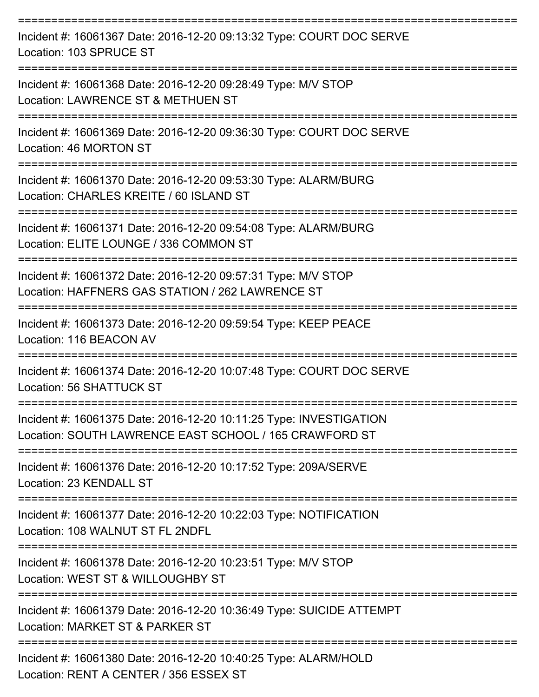| Incident #: 16061367 Date: 2016-12-20 09:13:32 Type: COURT DOC SERVE<br>Location: 103 SPRUCE ST                              |
|------------------------------------------------------------------------------------------------------------------------------|
| Incident #: 16061368 Date: 2016-12-20 09:28:49 Type: M/V STOP<br>Location: LAWRENCE ST & METHUEN ST                          |
| Incident #: 16061369 Date: 2016-12-20 09:36:30 Type: COURT DOC SERVE<br>Location: 46 MORTON ST                               |
| Incident #: 16061370 Date: 2016-12-20 09:53:30 Type: ALARM/BURG<br>Location: CHARLES KREITE / 60 ISLAND ST                   |
| Incident #: 16061371 Date: 2016-12-20 09:54:08 Type: ALARM/BURG<br>Location: ELITE LOUNGE / 336 COMMON ST                    |
| Incident #: 16061372 Date: 2016-12-20 09:57:31 Type: M/V STOP<br>Location: HAFFNERS GAS STATION / 262 LAWRENCE ST            |
| Incident #: 16061373 Date: 2016-12-20 09:59:54 Type: KEEP PEACE<br>Location: 116 BEACON AV                                   |
| Incident #: 16061374 Date: 2016-12-20 10:07:48 Type: COURT DOC SERVE<br>Location: 56 SHATTUCK ST                             |
| Incident #: 16061375 Date: 2016-12-20 10:11:25 Type: INVESTIGATION<br>Location: SOUTH LAWRENCE EAST SCHOOL / 165 CRAWFORD ST |
| Incident #: 16061376 Date: 2016-12-20 10:17:52 Type: 209A/SERVE<br>Location: 23 KENDALL ST                                   |
| Incident #: 16061377 Date: 2016-12-20 10:22:03 Type: NOTIFICATION<br>Location: 108 WALNUT ST FL 2NDFL                        |
| Incident #: 16061378 Date: 2016-12-20 10:23:51 Type: M/V STOP<br>Location: WEST ST & WILLOUGHBY ST                           |
| Incident #: 16061379 Date: 2016-12-20 10:36:49 Type: SUICIDE ATTEMPT<br>Location: MARKET ST & PARKER ST                      |
| Incident #: 16061380 Date: 2016-12-20 10:40:25 Type: ALARM/HOLD<br>Location: RENT A CENTER / 356 ESSEX ST                    |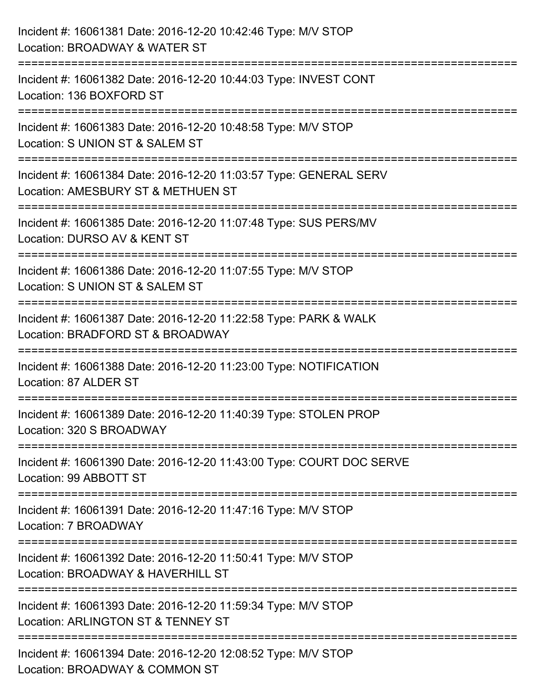| Incident #: 16061381 Date: 2016-12-20 10:42:46 Type: M/V STOP<br>Location: BROADWAY & WATER ST                                        |
|---------------------------------------------------------------------------------------------------------------------------------------|
| ==========================<br>Incident #: 16061382 Date: 2016-12-20 10:44:03 Type: INVEST CONT<br>Location: 136 BOXFORD ST            |
| Incident #: 16061383 Date: 2016-12-20 10:48:58 Type: M/V STOP<br>Location: S UNION ST & SALEM ST<br>============================      |
| Incident #: 16061384 Date: 2016-12-20 11:03:57 Type: GENERAL SERV<br>Location: AMESBURY ST & METHUEN ST<br>========================== |
| Incident #: 16061385 Date: 2016-12-20 11:07:48 Type: SUS PERS/MV<br>Location: DURSO AV & KENT ST                                      |
| Incident #: 16061386 Date: 2016-12-20 11:07:55 Type: M/V STOP<br>Location: S UNION ST & SALEM ST                                      |
| Incident #: 16061387 Date: 2016-12-20 11:22:58 Type: PARK & WALK<br>Location: BRADFORD ST & BROADWAY                                  |
| Incident #: 16061388 Date: 2016-12-20 11:23:00 Type: NOTIFICATION<br>Location: 87 ALDER ST                                            |
| Incident #: 16061389 Date: 2016-12-20 11:40:39 Type: STOLEN PROP<br>Location: 320 S BROADWAY                                          |
| Incident #: 16061390 Date: 2016-12-20 11:43:00 Type: COURT DOC SERVE<br>Location: 99 ABBOTT ST                                        |
| Incident #: 16061391 Date: 2016-12-20 11:47:16 Type: M/V STOP<br>Location: 7 BROADWAY                                                 |
| Incident #: 16061392 Date: 2016-12-20 11:50:41 Type: M/V STOP<br>Location: BROADWAY & HAVERHILL ST                                    |
| Incident #: 16061393 Date: 2016-12-20 11:59:34 Type: M/V STOP<br>Location: ARLINGTON ST & TENNEY ST                                   |
| Incident #: 16061394 Date: 2016-12-20 12:08:52 Type: M/V STOP<br>Location: BROADWAY & COMMON ST                                       |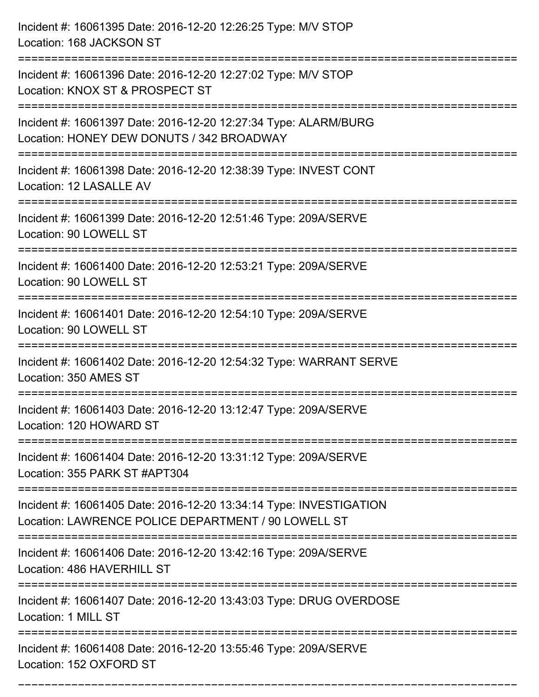| Incident #: 16061395 Date: 2016-12-20 12:26:25 Type: M/V STOP<br>Location: 168 JACKSON ST                                  |
|----------------------------------------------------------------------------------------------------------------------------|
| Incident #: 16061396 Date: 2016-12-20 12:27:02 Type: M/V STOP<br>Location: KNOX ST & PROSPECT ST                           |
| Incident #: 16061397 Date: 2016-12-20 12:27:34 Type: ALARM/BURG<br>Location: HONEY DEW DONUTS / 342 BROADWAY               |
| Incident #: 16061398 Date: 2016-12-20 12:38:39 Type: INVEST CONT<br>Location: 12 LASALLE AV                                |
| Incident #: 16061399 Date: 2016-12-20 12:51:46 Type: 209A/SERVE<br>Location: 90 LOWELL ST                                  |
| Incident #: 16061400 Date: 2016-12-20 12:53:21 Type: 209A/SERVE<br>Location: 90 LOWELL ST                                  |
| Incident #: 16061401 Date: 2016-12-20 12:54:10 Type: 209A/SERVE<br>Location: 90 LOWELL ST                                  |
| Incident #: 16061402 Date: 2016-12-20 12:54:32 Type: WARRANT SERVE<br>Location: 350 AMES ST                                |
| Incident #: 16061403 Date: 2016-12-20 13:12:47 Type: 209A/SERVE<br>Location: 120 HOWARD ST                                 |
| Incident #: 16061404 Date: 2016-12-20 13:31:12 Type: 209A/SERVE<br>Location: 355 PARK ST #APT304                           |
| Incident #: 16061405 Date: 2016-12-20 13:34:14 Type: INVESTIGATION<br>Location: LAWRENCE POLICE DEPARTMENT / 90 LOWELL ST  |
| Incident #: 16061406 Date: 2016-12-20 13:42:16 Type: 209A/SERVE<br>Location: 486 HAVERHILL ST<br>------------------------- |
| Incident #: 16061407 Date: 2016-12-20 13:43:03 Type: DRUG OVERDOSE<br>Location: 1 MILL ST                                  |
| ==========<br>Incident #: 16061408 Date: 2016-12-20 13:55:46 Type: 209A/SERVE<br>Location: 152 OXFORD ST                   |

===========================================================================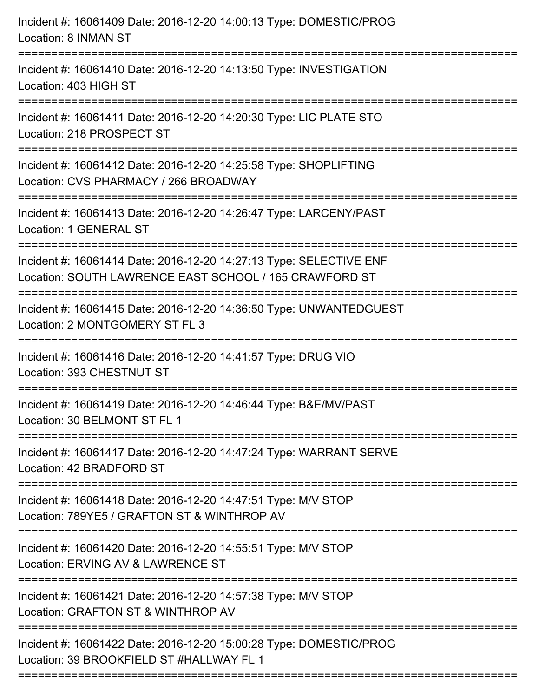| Incident #: 16061409 Date: 2016-12-20 14:00:13 Type: DOMESTIC/PROG<br><b>Location: 8 INMAN ST</b>                            |
|------------------------------------------------------------------------------------------------------------------------------|
| Incident #: 16061410 Date: 2016-12-20 14:13:50 Type: INVESTIGATION<br>Location: 403 HIGH ST                                  |
| Incident #: 16061411 Date: 2016-12-20 14:20:30 Type: LIC PLATE STO<br>Location: 218 PROSPECT ST                              |
| Incident #: 16061412 Date: 2016-12-20 14:25:58 Type: SHOPLIFTING<br>Location: CVS PHARMACY / 266 BROADWAY                    |
| Incident #: 16061413 Date: 2016-12-20 14:26:47 Type: LARCENY/PAST<br>Location: 1 GENERAL ST                                  |
| Incident #: 16061414 Date: 2016-12-20 14:27:13 Type: SELECTIVE ENF<br>Location: SOUTH LAWRENCE EAST SCHOOL / 165 CRAWFORD ST |
| Incident #: 16061415 Date: 2016-12-20 14:36:50 Type: UNWANTEDGUEST<br>Location: 2 MONTGOMERY ST FL 3                         |
| Incident #: 16061416 Date: 2016-12-20 14:41:57 Type: DRUG VIO<br>Location: 393 CHESTNUT ST                                   |
| Incident #: 16061419 Date: 2016-12-20 14:46:44 Type: B&E/MV/PAST<br>Location: 30 BELMONT ST FL 1                             |
| Incident #: 16061417 Date: 2016-12-20 14:47:24 Type: WARRANT SERVE<br>Location: 42 BRADFORD ST                               |
| Incident #: 16061418 Date: 2016-12-20 14:47:51 Type: M/V STOP<br>Location: 789YE5 / GRAFTON ST & WINTHROP AV                 |
| Incident #: 16061420 Date: 2016-12-20 14:55:51 Type: M/V STOP<br>Location: ERVING AV & LAWRENCE ST                           |
| Incident #: 16061421 Date: 2016-12-20 14:57:38 Type: M/V STOP<br>Location: GRAFTON ST & WINTHROP AV                          |
| Incident #: 16061422 Date: 2016-12-20 15:00:28 Type: DOMESTIC/PROG<br>Location: 39 BROOKFIELD ST #HALLWAY FL 1               |
|                                                                                                                              |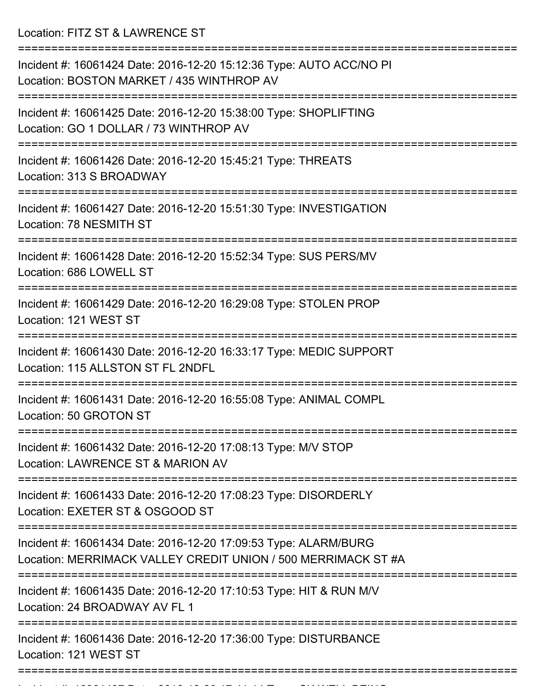Location: FITZ ST & LAWRENCE ST

| Incident #: 16061424 Date: 2016-12-20 15:12:36 Type: AUTO ACC/NO PI<br>Location: BOSTON MARKET / 435 WINTHROP AV                 |
|----------------------------------------------------------------------------------------------------------------------------------|
| Incident #: 16061425 Date: 2016-12-20 15:38:00 Type: SHOPLIFTING<br>Location: GO 1 DOLLAR / 73 WINTHROP AV                       |
| Incident #: 16061426 Date: 2016-12-20 15:45:21 Type: THREATS<br>Location: 313 S BROADWAY                                         |
| Incident #: 16061427 Date: 2016-12-20 15:51:30 Type: INVESTIGATION<br>Location: 78 NESMITH ST                                    |
| Incident #: 16061428 Date: 2016-12-20 15:52:34 Type: SUS PERS/MV<br>Location: 686 LOWELL ST                                      |
| Incident #: 16061429 Date: 2016-12-20 16:29:08 Type: STOLEN PROP<br>Location: 121 WEST ST                                        |
| Incident #: 16061430 Date: 2016-12-20 16:33:17 Type: MEDIC SUPPORT<br>Location: 115 ALLSTON ST FL 2NDFL                          |
| Incident #: 16061431 Date: 2016-12-20 16:55:08 Type: ANIMAL COMPL<br>Location: 50 GROTON ST                                      |
| Incident #: 16061432 Date: 2016-12-20 17:08:13 Type: M/V STOP<br>Location: LAWRENCE ST & MARION AV                               |
| Incident #: 16061433 Date: 2016-12-20 17:08:23 Type: DISORDERLY<br>Location: EXETER ST & OSGOOD ST                               |
| Incident #: 16061434 Date: 2016-12-20 17:09:53 Type: ALARM/BURG<br>Location: MERRIMACK VALLEY CREDIT UNION / 500 MERRIMACK ST #A |
| Incident #: 16061435 Date: 2016-12-20 17:10:53 Type: HIT & RUN M/V<br>Location: 24 BROADWAY AV FL 1                              |
| Incident #: 16061436 Date: 2016-12-20 17:36:00 Type: DISTURBANCE<br>Location: 121 WEST ST                                        |
|                                                                                                                                  |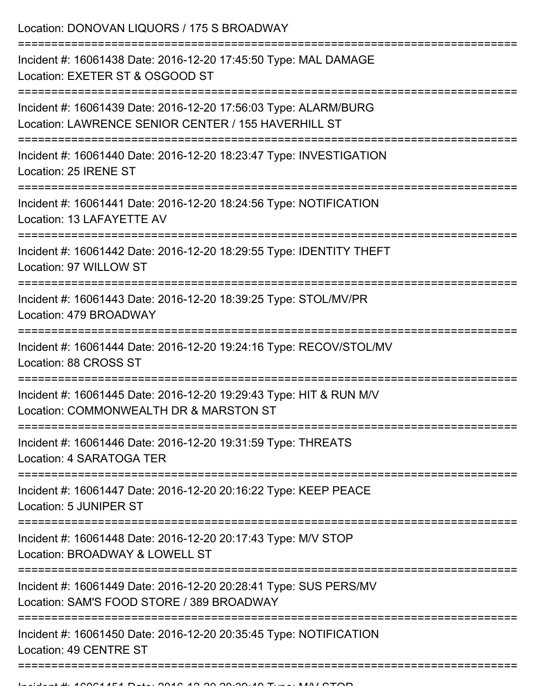Location: DONOVAN LIQUORS / 175 S BROADWAY

| Incident #: 16061438 Date: 2016-12-20 17:45:50 Type: MAL DAMAGE<br>Location: EXETER ST & OSGOOD ST                     |
|------------------------------------------------------------------------------------------------------------------------|
| Incident #: 16061439 Date: 2016-12-20 17:56:03 Type: ALARM/BURG<br>Location: LAWRENCE SENIOR CENTER / 155 HAVERHILL ST |
| Incident #: 16061440 Date: 2016-12-20 18:23:47 Type: INVESTIGATION<br>Location: 25 IRENE ST                            |
| Incident #: 16061441 Date: 2016-12-20 18:24:56 Type: NOTIFICATION<br>Location: 13 LAFAYETTE AV                         |
| Incident #: 16061442 Date: 2016-12-20 18:29:55 Type: IDENTITY THEFT<br>Location: 97 WILLOW ST                          |
| Incident #: 16061443 Date: 2016-12-20 18:39:25 Type: STOL/MV/PR<br>Location: 479 BROADWAY                              |
| Incident #: 16061444 Date: 2016-12-20 19:24:16 Type: RECOV/STOL/MV<br>Location: 88 CROSS ST                            |
| Incident #: 16061445 Date: 2016-12-20 19:29:43 Type: HIT & RUN M/V<br>Location: COMMONWEALTH DR & MARSTON ST           |
| =============<br>Incident #: 16061446 Date: 2016-12-20 19:31:59 Type: THREATS<br>Location: 4 SARATOGA TER              |
| Incident #: 16061447 Date: 2016-12-20 20:16:22 Type: KEEP PEACE<br>Location: 5 JUNIPER ST                              |
| Incident #: 16061448 Date: 2016-12-20 20:17:43 Type: M/V STOP<br>Location: BROADWAY & LOWELL ST                        |
| Incident #: 16061449 Date: 2016-12-20 20:28:41 Type: SUS PERS/MV<br>Location: SAM'S FOOD STORE / 389 BROADWAY          |
| Incident #: 16061450 Date: 2016-12-20 20:35:45 Type: NOTIFICATION<br>Location: 49 CENTRE ST                            |
|                                                                                                                        |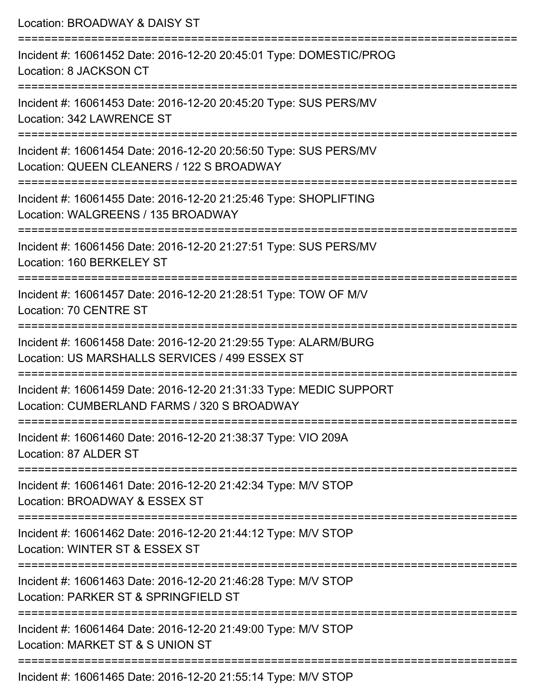| Location: BROADWAY & DAISY ST                                                                                                                   |
|-------------------------------------------------------------------------------------------------------------------------------------------------|
| Incident #: 16061452 Date: 2016-12-20 20:45:01 Type: DOMESTIC/PROG<br>Location: 8 JACKSON CT                                                    |
| Incident #: 16061453 Date: 2016-12-20 20:45:20 Type: SUS PERS/MV<br>Location: 342 LAWRENCE ST                                                   |
| Incident #: 16061454 Date: 2016-12-20 20:56:50 Type: SUS PERS/MV<br>Location: QUEEN CLEANERS / 122 S BROADWAY<br>============================== |
| :==================================<br>Incident #: 16061455 Date: 2016-12-20 21:25:46 Type: SHOPLIFTING<br>Location: WALGREENS / 135 BROADWAY   |
| Incident #: 16061456 Date: 2016-12-20 21:27:51 Type: SUS PERS/MV<br>Location: 160 BERKELEY ST<br>:============================                  |
| Incident #: 16061457 Date: 2016-12-20 21:28:51 Type: TOW OF M/V<br>Location: 70 CENTRE ST                                                       |
| Incident #: 16061458 Date: 2016-12-20 21:29:55 Type: ALARM/BURG<br>Location: US MARSHALLS SERVICES / 499 ESSEX ST                               |
| Incident #: 16061459 Date: 2016-12-20 21:31:33 Type: MEDIC SUPPORT<br>Location: CUMBERLAND FARMS / 320 S BROADWAY                               |
| Incident #: 16061460 Date: 2016-12-20 21:38:37 Type: VIO 209A<br>Location: 87 ALDER ST                                                          |
| Incident #: 16061461 Date: 2016-12-20 21:42:34 Type: M/V STOP<br>Location: BROADWAY & ESSEX ST                                                  |
| Incident #: 16061462 Date: 2016-12-20 21:44:12 Type: M/V STOP<br>Location: WINTER ST & ESSEX ST                                                 |
| Incident #: 16061463 Date: 2016-12-20 21:46:28 Type: M/V STOP<br>Location: PARKER ST & SPRINGFIELD ST                                           |
| Incident #: 16061464 Date: 2016-12-20 21:49:00 Type: M/V STOP<br>Location: MARKET ST & S UNION ST                                               |
| Incident #: 16061465 Date: 2016-12-20 21:55:14 Type: M/V STOP                                                                                   |